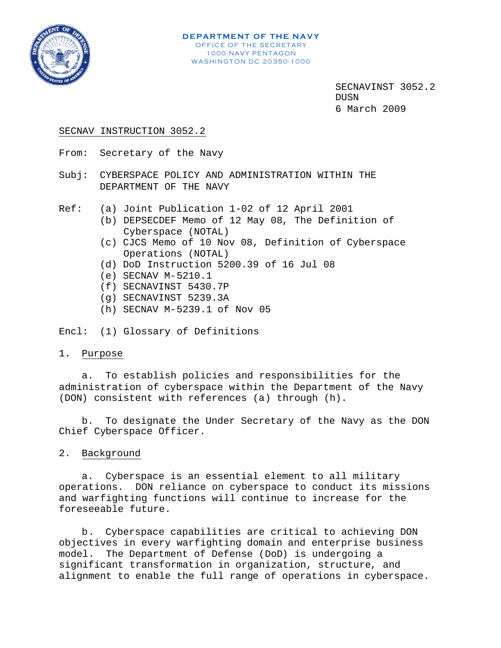

## SECNAV INSTRUCTION 3052.2

- From: Secretary of the Navy
- Subj: CYBERSPACE POLICY AND ADMINISTRATION WITHIN THE DEPARTMENT OF THE NAVY
- Ref: (a) Joint Publication 1-02 of 12 April 2001
	- (b) DEPSECDEF Memo of 12 May 08, The Definition of Cyberspace (NOTAL)
	- (c) CJCS Memo of 10 Nov 08, Definition of Cyberspace Operations (NOTAL)
	- (d) DoD Instruction 5200.39 of 16 Jul 08
	- (e) SECNAV M-5210.1
	- (f) SECNAVINST 5430.7P
	- (g) SECNAVINST 5239.3A
	- (h) SECNAV M-5239.1 of Nov 05

Encl: (1) Glossary of Definitions

## 1. Purpose

a. To establish policies and responsibilities for the administration of cyberspace within the Department of the Navy (DON) consistent with references (a) through (h).

b. To designate the Under Secretary of the Navy as the DON Chief Cyberspace Officer.

## 2. Background

a. Cyberspace is an essential element to all military operations. DON reliance on cyberspace to conduct its missions and warfighting functions will continue to increase for the foreseeable future.

b. Cyberspace capabilities are critical to achieving DON objectives in every warfighting domain and enterprise business model. The Department of Defense (DoD) is undergoing a significant transformation in organization, structure, and alignment to enable the full range of operations in cyberspace.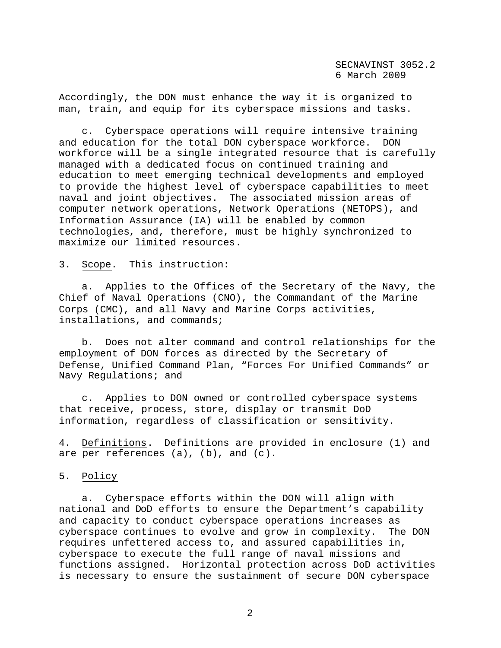Accordingly, the DON must enhance the way it is organized to man, train, and equip for its cyberspace missions and tasks.

c. Cyberspace operations will require intensive training and education for the total DON cyberspace workforce. DON workforce will be a single integrated resource that is carefully managed with a dedicated focus on continued training and education to meet emerging technical developments and employed to provide the highest level of cyberspace capabilities to meet naval and joint objectives. The associated mission areas of computer network operations, Network Operations (NETOPS), and Information Assurance (IA) will be enabled by common technologies, and, therefore, must be highly synchronized to maximize our limited resources.

3. Scope. This instruction:

a. Applies to the Offices of the Secretary of the Navy, the Chief of Naval Operations (CNO), the Commandant of the Marine Corps (CMC), and all Navy and Marine Corps activities, installations, and commands;

b. Does not alter command and control relationships for the employment of DON forces as directed by the Secretary of Defense, Unified Command Plan, "Forces For Unified Commands" or Navy Regulations; and

c. Applies to DON owned or controlled cyberspace systems that receive, process, store, display or transmit DoD information, regardless of classification or sensitivity.

4. Definitions. Definitions are provided in enclosure (1) and are per references (a), (b), and (c).

5. Policy

a. Cyberspace efforts within the DON will align with national and DoD efforts to ensure the Department's capability and capacity to conduct cyberspace operations increases as cyberspace continues to evolve and grow in complexity. The DON requires unfettered access to, and assured capabilities in, cyberspace to execute the full range of naval missions and functions assigned. Horizontal protection across DoD activities is necessary to ensure the sustainment of secure DON cyberspace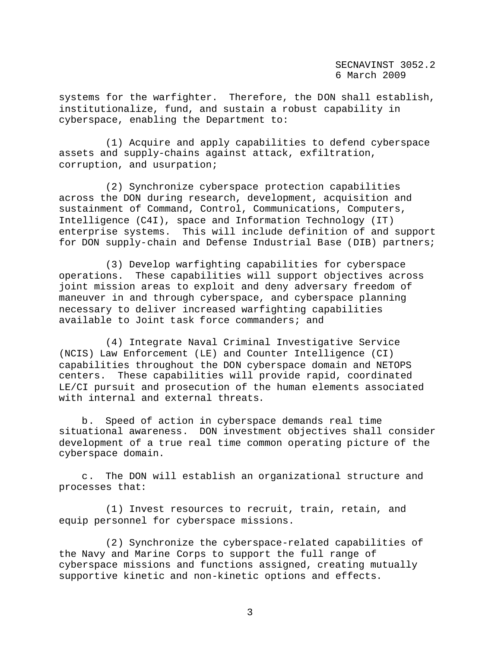systems for the warfighter. Therefore, the DON shall establish, institutionalize, fund, and sustain a robust capability in cyberspace, enabling the Department to:

(1) Acquire and apply capabilities to defend cyberspace assets and supply-chains against attack, exfiltration, corruption, and usurpation;

(2) Synchronize cyberspace protection capabilities across the DON during research, development, acquisition and sustainment of Command, Control, Communications, Computers, Intelligence (C4I), space and Information Technology (IT) enterprise systems. This will include definition of and support for DON supply-chain and Defense Industrial Base (DIB) partners;

(3) Develop warfighting capabilities for cyberspace operations. These capabilities will support objectives across joint mission areas to exploit and deny adversary freedom of maneuver in and through cyberspace, and cyberspace planning necessary to deliver increased warfighting capabilities available to Joint task force commanders; and

(4) Integrate Naval Criminal Investigative Service (NCIS) Law Enforcement (LE) and Counter Intelligence (CI) capabilities throughout the DON cyberspace domain and NETOPS centers. These capabilities will provide rapid, coordinated LE/CI pursuit and prosecution of the human elements associated with internal and external threats.

b. Speed of action in cyberspace demands real time situational awareness. DON investment objectives shall consider development of a true real time common operating picture of the cyberspace domain.

c. The DON will establish an organizational structure and processes that:

(1) Invest resources to recruit, train, retain, and equip personnel for cyberspace missions.

(2) Synchronize the cyberspace-related capabilities of the Navy and Marine Corps to support the full range of cyberspace missions and functions assigned, creating mutually supportive kinetic and non-kinetic options and effects.

3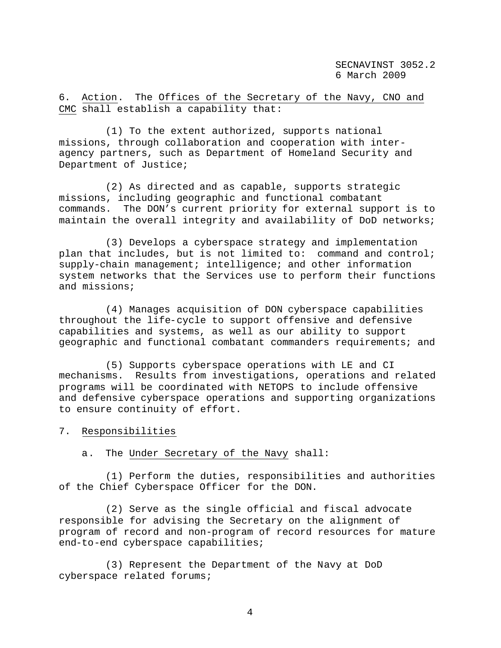6. Action. The Offices of the Secretary of the Navy, CNO and CMC shall establish a capability that:

(1) To the extent authorized, supports national missions, through collaboration and cooperation with interagency partners, such as Department of Homeland Security and Department of Justice;

(2) As directed and as capable, supports strategic missions, including geographic and functional combatant commands. The DON's current priority for external support is to maintain the overall integrity and availability of DoD networks;

(3) Develops a cyberspace strategy and implementation plan that includes, but is not limited to: command and control; supply-chain management; intelligence; and other information system networks that the Services use to perform their functions and missions;

(4) Manages acquisition of DON cyberspace capabilities throughout the life-cycle to support offensive and defensive capabilities and systems, as well as our ability to support geographic and functional combatant commanders requirements; and

(5) Supports cyberspace operations with LE and CI mechanisms. Results from investigations, operations and related programs will be coordinated with NETOPS to include offensive and defensive cyberspace operations and supporting organizations to ensure continuity of effort.

7. Responsibilities

a. The Under Secretary of the Navy shall:

(1) Perform the duties, responsibilities and authorities of the Chief Cyberspace Officer for the DON.

(2) Serve as the single official and fiscal advocate responsible for advising the Secretary on the alignment of program of record and non-program of record resources for mature end-to-end cyberspace capabilities;

(3) Represent the Department of the Navy at DoD cyberspace related forums;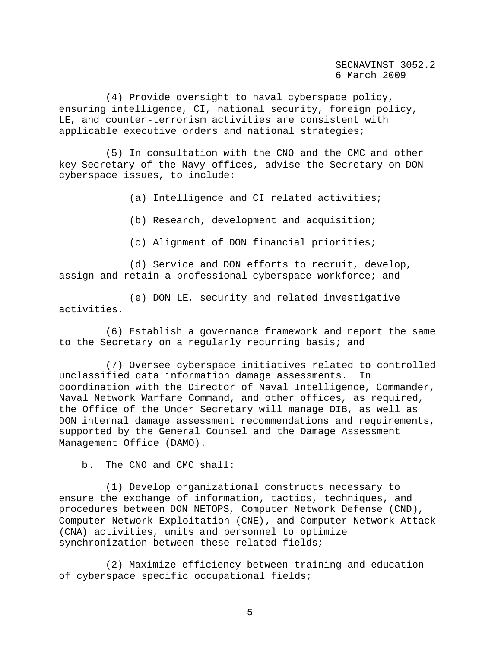(4) Provide oversight to naval cyberspace policy, ensuring intelligence, CI, national security, foreign policy, LE, and counter-terrorism activities are consistent with applicable executive orders and national strategies;

(5) In consultation with the CNO and the CMC and other key Secretary of the Navy offices, advise the Secretary on DON cyberspace issues, to include:

(a) Intelligence and CI related activities;

(b) Research, development and acquisition;

(c) Alignment of DON financial priorities;

(d) Service and DON efforts to recruit, develop, assign and retain a professional cyberspace workforce; and

(e) DON LE, security and related investigative activities.

(6) Establish a governance framework and report the same to the Secretary on a regularly recurring basis; and

(7) Oversee cyberspace initiatives related to controlled unclassified data information damage assessments. In coordination with the Director of Naval Intelligence, Commander, Naval Network Warfare Command, and other offices, as required, the Office of the Under Secretary will manage DIB, as well as DON internal damage assessment recommendations and requirements, supported by the General Counsel and the Damage Assessment Management Office (DAMO).

b. The CNO and CMC shall:

(1) Develop organizational constructs necessary to ensure the exchange of information, tactics, techniques, and procedures between DON NETOPS, Computer Network Defense (CND), Computer Network Exploitation (CNE), and Computer Network Attack (CNA) activities, units and personnel to optimize synchronization between these related fields;

(2) Maximize efficiency between training and education of cyberspace specific occupational fields;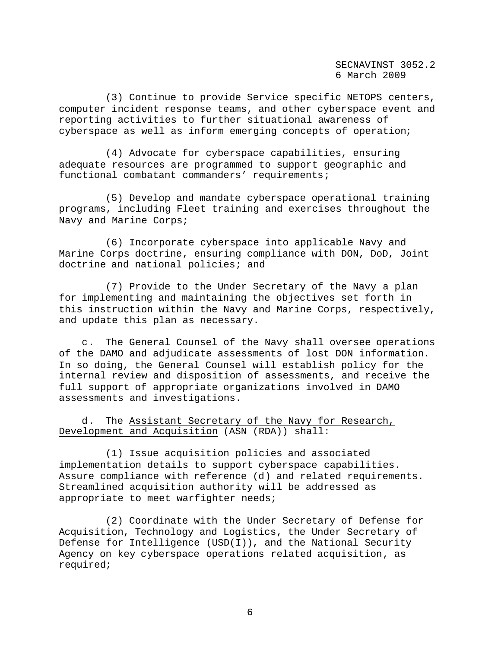(3) Continue to provide Service specific NETOPS centers, computer incident response teams, and other cyberspace event and reporting activities to further situational awareness of cyberspace as well as inform emerging concepts of operation;

(4) Advocate for cyberspace capabilities, ensuring adequate resources are programmed to support geographic and functional combatant commanders' requirements;

(5) Develop and mandate cyberspace operational training programs, including Fleet training and exercises throughout the Navy and Marine Corps;

(6) Incorporate cyberspace into applicable Navy and Marine Corps doctrine, ensuring compliance with DON, DoD, Joint doctrine and national policies; and

(7) Provide to the Under Secretary of the Navy a plan for implementing and maintaining the objectives set forth in this instruction within the Navy and Marine Corps, respectively, and update this plan as necessary.

c. The General Counsel of the Navy shall oversee operations of the DAMO and adjudicate assessments of lost DON information. In so doing, the General Counsel will establish policy for the internal review and disposition of assessments, and receive the full support of appropriate organizations involved in DAMO assessments and investigations.

d. The Assistant Secretary of the Navy for Research, Development and Acquisition (ASN (RDA)) shall:

(1) Issue acquisition policies and associated implementation details to support cyberspace capabilities. Assure compliance with reference (d) and related requirements. Streamlined acquisition authority will be addressed as appropriate to meet warfighter needs;

(2) Coordinate with the Under Secretary of Defense for Acquisition, Technology and Logistics, the Under Secretary of Defense for Intelligence (USD(I)), and the National Security Agency on key cyberspace operations related acquisition, as required;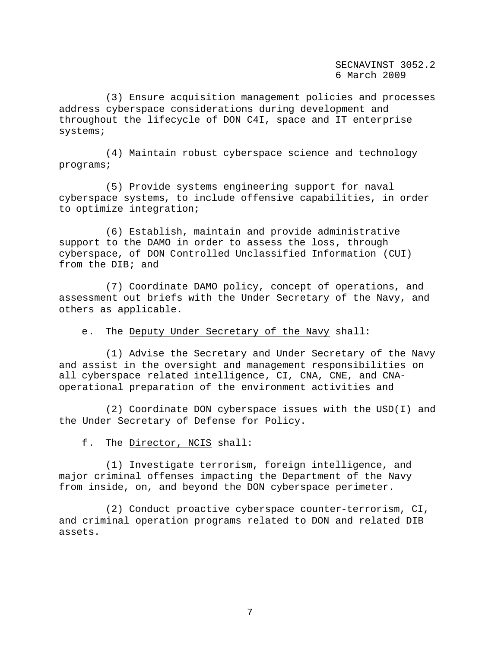(3) Ensure acquisition management policies and processes address cyberspace considerations during development and throughout the lifecycle of DON C4I, space and IT enterprise systems;

(4) Maintain robust cyberspace science and technology programs;

(5) Provide systems engineering support for naval cyberspace systems, to include offensive capabilities, in order to optimize integration;

(6) Establish, maintain and provide administrative support to the DAMO in order to assess the loss, through cyberspace, of DON Controlled Unclassified Information (CUI) from the DIB; and

(7) Coordinate DAMO policy, concept of operations, and assessment out briefs with the Under Secretary of the Navy, and others as applicable.

e. The Deputy Under Secretary of the Navy shall:

(1) Advise the Secretary and Under Secretary of the Navy and assist in the oversight and management responsibilities on all cyberspace related intelligence, CI, CNA, CNE, and CNAoperational preparation of the environment activities and

(2) Coordinate DON cyberspace issues with the USD(I) and the Under Secretary of Defense for Policy.

f. The Director, NCIS shall:

(1) Investigate terrorism, foreign intelligence, and major criminal offenses impacting the Department of the Navy from inside, on, and beyond the DON cyberspace perimeter.

(2) Conduct proactive cyberspace counter-terrorism, CI, and criminal operation programs related to DON and related DIB assets.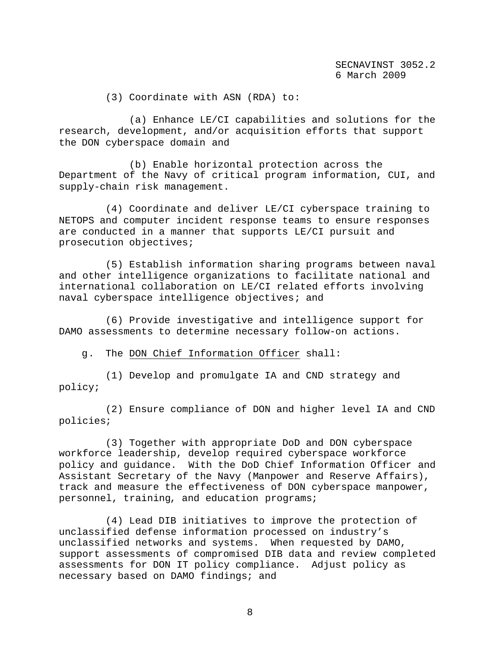(3) Coordinate with ASN (RDA) to:

(a) Enhance LE/CI capabilities and solutions for the research, development, and/or acquisition efforts that support the DON cyberspace domain and

(b) Enable horizontal protection across the Department of the Navy of critical program information, CUI, and supply-chain risk management.

(4) Coordinate and deliver LE/CI cyberspace training to NETOPS and computer incident response teams to ensure responses are conducted in a manner that supports LE/CI pursuit and prosecution objectives;

(5) Establish information sharing programs between naval and other intelligence organizations to facilitate national and international collaboration on LE/CI related efforts involving naval cyberspace intelligence objectives; and

(6) Provide investigative and intelligence support for DAMO assessments to determine necessary follow-on actions.

g. The DON Chief Information Officer shall:

(1) Develop and promulgate IA and CND strategy and policy;

(2) Ensure compliance of DON and higher level IA and CND policies;

(3) Together with appropriate DoD and DON cyberspace workforce leadership, develop required cyberspace workforce policy and guidance. With the DoD Chief Information Officer and Assistant Secretary of the Navy (Manpower and Reserve Affairs), track and measure the effectiveness of DON cyberspace manpower, personnel, training, and education programs;

(4) Lead DIB initiatives to improve the protection of unclassified defense information processed on industry's unclassified networks and systems. When requested by DAMO, support assessments of compromised DIB data and review completed assessments for DON IT policy compliance. Adjust policy as necessary based on DAMO findings; and

8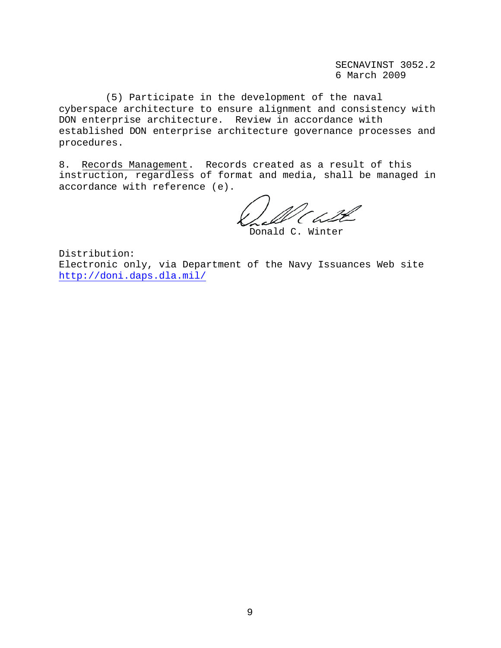(5) Participate in the development of the naval cyberspace architecture to ensure alignment and consistency with DON enterprise architecture. Review in accordance with established DON enterprise architecture governance processes and procedures.

8. Records Management. Records created as a result of this instruction, regardless of format and media, shall be managed in accordance with reference (e).

Donald C. Winter

Distribution: Electronic only, via Department of the Navy Issuances Web site http://doni.daps.dla.mil/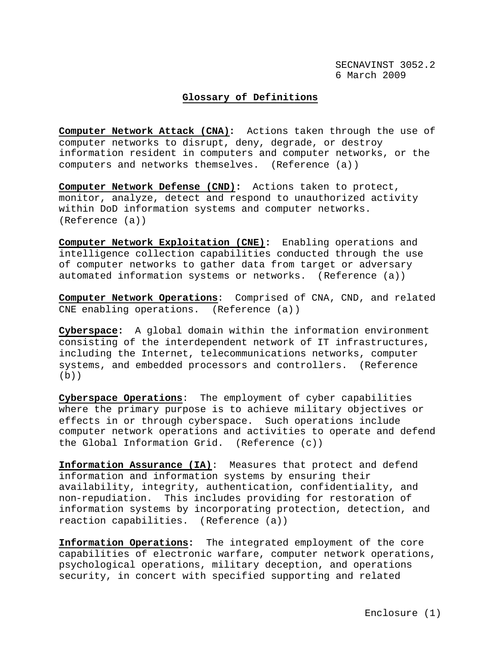## **Glossary of Definitions**

**Computer Network Attack (CNA):** Actions taken through the use of computer networks to disrupt, deny, degrade, or destroy information resident in computers and computer networks, or the computers and networks themselves. (Reference (a))

**Computer Network Defense (CND):** Actions taken to protect, monitor, analyze, detect and respond to unauthorized activity within DoD information systems and computer networks. (Reference (a))

**Computer Network Exploitation (CNE):** Enabling operations and intelligence collection capabilities conducted through the use of computer networks to gather data from target or adversary automated information systems or networks. (Reference (a))

**Computer Network Operations**: Comprised of CNA, CND, and related CNE enabling operations. (Reference (a))

**Cyberspace:** A global domain within the information environment consisting of the interdependent network of IT infrastructures, including the Internet, telecommunications networks, computer systems, and embedded processors and controllers. (Reference  $(b)$ 

**Cyberspace Operations**: The employment of cyber capabilities where the primary purpose is to achieve military objectives or effects in or through cyberspace. Such operations include computer network operations and activities to operate and defend the Global Information Grid. (Reference (c))

**Information Assurance (IA)**: Measures that protect and defend information and information systems by ensuring their availability, integrity, authentication, confidentiality, and non-repudiation. This includes providing for restoration of information systems by incorporating protection, detection, and reaction capabilities. (Reference (a))

**Information Operations:** The integrated employment of the core capabilities of electronic warfare, computer network operations, psychological operations, military deception, and operations security, in concert with specified supporting and related